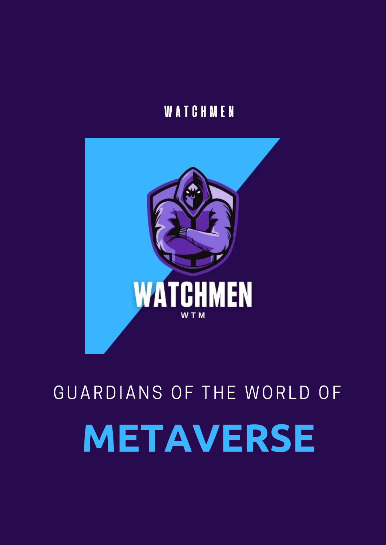### **WATCHMEN**



# **METAVERSE** GUARDIANS OF THE WORLD OF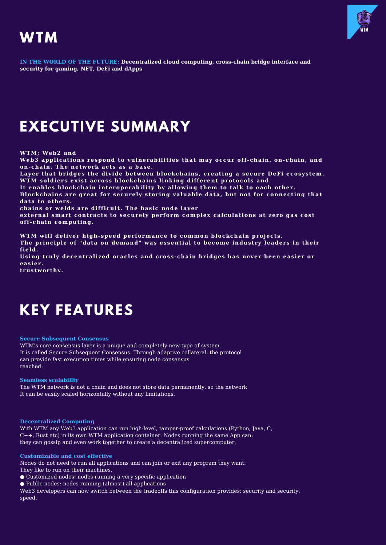

### **WTM**

**IN THE WORLD OF THE FUTURE; Decentralized cloud computing, cross-chain bridge interface and security for gaming, NFT, DeFi and dApps**

### **EXECUTIVE SUMMARY**

**WTM; Web2 and**

**Web3 applicat ions respond to vulnerabili t ies that may occur of f -chain, on-chain, and on-chain. The network acts as a base.**

**Layer that bridges the divide between blockchains, creat ing a secure DeFi ecosystem. WTM soldiers exist across blockchains linking di f ferent protocols and**

**I t enables blockchain interoperabili ty by allowing them to talk to each other.**

**Blockchains are great for securely storing valuable data, but not for connect ing that data to others.**

**chains or welds are di f f icul t . The basic node layer**

**external smart contracts to securely perform complex calculat ions at zero gas cost of f -chain comput ing.**

**WTM will deliver high-speed performance to common blockchain projects. The principle of "data on demand" was essent ial to become industry leaders in their f ield.**

**Using truly decentralized oracles and cross-chain bridges has never been easier or easier.**

**trustworthy.**

### **KEY FEATURES**

**Secure Subsequent Consensus**

WTM's core consensus layer is a unique and completely new type of system. It is called Secure Subsequent Consensus. Through adaptive collateral, the protocol can provide fast execution times while ensuring node consensus reached.

**Seamless scalability**

The WTM network is not a chain and does not store data permanently, so the network It can be easily scaled horizontally without any limitations.

#### **Decentralized Computing**

With WTM any Web3 application can run high-level, tamper-proof calculations (Python, Java, C, C++, Rust etc) in its own WTM application container. Nodes running the same App can: they can gossip and even work together to create a decentralized supercomputer.

#### **Customizable and cost effective**

Nodes do not need to run all applications and can join or exit any program they want. They like to run on their machines.

- Customized nodes: nodes running a very specific application
- Public nodes: nodes running (almost) all applications

Web3 developers can now switch between the tradeoffs this configuration provides: security and security. speed.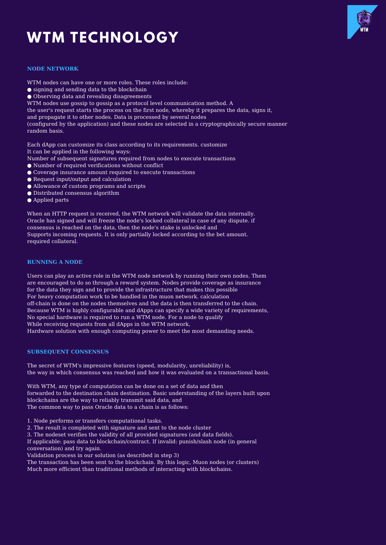# **WTM TECHNOLOGY**



#### **NODE NETWORK**

- WTM nodes can have one or more roles. These roles include:
- signing and sending data to the blockchain
- Observing data and revealing disagreements
- WTM nodes use gossip to gossip as a protocol level communication method. A
- the user's request starts the process on the first node, whereby it prepares the data, signs it,
- and propagate it to other nodes. Data is processed by several nodes

(configured by the application) and these nodes are selected in a cryptographically secure manner random basis.

Each dApp can customize its class according to its requirements. customize It can be applied in the following ways:

- Number of subsequent signatures required from nodes to execute transactions
- Number of required verifications without conflict
- Coverage insurance amount required to execute transactions
- Request input/output and calculation
- Allowance of custom programs and scripts
- Distributed consensus algorithm
- Applied parts

When an HTTP request is received, the WTM network will validate the data internally. Oracle has signed and will freeze the node's locked collateral in case of any dispute. if consensus is reached on the data, then the node's stake is unlocked and Supports incoming requests. It is only partially locked according to the bet amount. required collateral.

#### **RUNNING A NODE**

Users can play an active role in the WTM node network by running their own nodes. Them are encouraged to do so through a reward system. Nodes provide coverage as insurance for the data they sign and to provide the infrastructure that makes this possible For heavy computation work to be handled in the muon network. calculation off-chain is done on the nodes themselves and the data is then transferred to the chain. Because WTM is highly configurable and dApps can specify a wide variety of requirements, No special hardware is required to run a WTM node. For a node to qualify While receiving requests from all dApps in the WTM network, Hardware solution with enough computing power to meet the most demanding needs.

#### **SUBSEQUENT CONSENSUS**

The secret of WTM's impressive features (speed, modularity, unreliability) is, the way in which consensus was reached and how it was evaluated on a transactional basis.

With WTM, any type of computation can be done on a set of data and then forwarded to the destination chain destination. Basic understanding of the layers built upon blockchains are the way to reliably transmit said data, and The common way to pass Oracle data to a chain is as follows:

1. Node performs or transfers computational tasks.

- 2. The result is completed with signature and sent to the node cluster
- 3. The nodeset verifies the validity of all provided signatures (and data fields).

If applicable: pass data to blockchain/contract. If invalid: punish/slash node (in general conversation) and try again.

Validation process in our solution (as described in step 3)

The transaction has been sent to the blockchain. By this logic, Muon nodes (or clusters) Much more efficient than traditional methods of interacting with blockchains.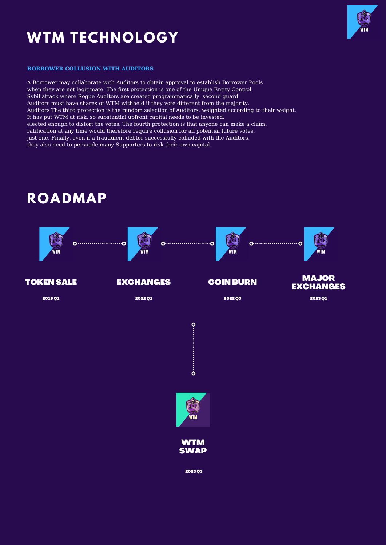## **WTM TECHNOLOGY**



#### **BORROWER COLLUSION WITH AUDITORS**

A Borrower may collaborate with Auditors to obtain approval to establish Borrower Pools when they are not legitimate. The first protection is one of the Unique Entity Control Sybil attack where Rogue Auditors are created programmatically. second guard Auditors must have shares of WTM withheld if they vote different from the majority. Auditors The third protection is the random selection of Auditors, weighted according to their weight. It has put WTM at risk, so substantial upfront capital needs to be invested. elected enough to distort the votes. The fourth protection is that anyone can make a claim. ratification at any time would therefore require collusion for all potential future votes. just one. Finally, even if a fraudulent debtor successfully colluded with the Auditors, they also need to persuade many Supporters to risk their own capital.